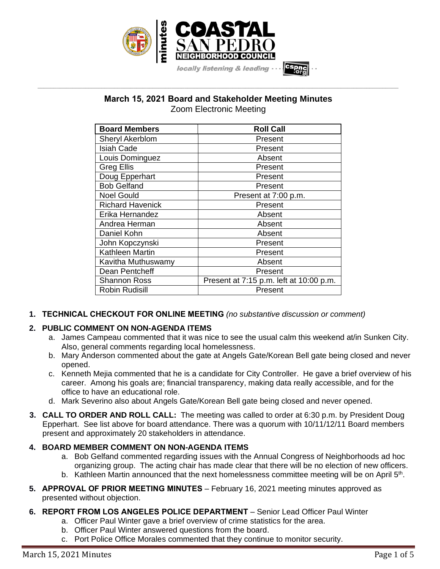

# **March 15, 2021 Board and Stakeholder Meeting Minutes** Zoom Electronic Meeting

**\_\_\_\_\_\_\_\_\_\_\_\_\_\_\_\_\_\_\_\_\_\_\_\_\_\_\_\_\_\_\_\_\_\_\_\_\_\_\_\_\_\_\_\_\_\_\_\_\_\_\_\_\_\_\_\_\_\_\_\_\_\_\_\_\_\_\_\_\_\_\_\_\_\_\_\_\_\_\_\_\_\_\_\_\_\_\_\_\_\_\_\_\_\_\_\_\_\_\_\_\_\_\_\_\_\_\_\_\_\_\_\_\_**

| <b>Board Members</b>    | <b>Roll Call</b>                        |
|-------------------------|-----------------------------------------|
| Sheryl Akerblom         | Present                                 |
| <b>Isiah Cade</b>       | Present                                 |
| Louis Dominguez         | Absent                                  |
| <b>Greg Ellis</b>       | Present                                 |
| Doug Epperhart          | Present                                 |
| <b>Bob Gelfand</b>      | Present                                 |
| <b>Noel Gould</b>       | Present at 7:00 p.m.                    |
| <b>Richard Havenick</b> | Present                                 |
| Erika Hernandez         | Absent                                  |
| Andrea Herman           | Absent                                  |
| Daniel Kohn             | Absent                                  |
| John Kopczynski         | Present                                 |
| Kathleen Martin         | Present                                 |
| Kavitha Muthuswamy      | Absent                                  |
| Dean Pentcheff          | Present                                 |
| <b>Shannon Ross</b>     | Present at 7:15 p.m. left at 10:00 p.m. |
| <b>Robin Rudisill</b>   | Present                                 |

**1. TECHNICAL CHECKOUT FOR ONLINE MEETING** *(no substantive discussion or comment)*

## **2. PUBLIC COMMENT ON NON-AGENDA ITEMS**

- a. James Campeau commented that it was nice to see the usual calm this weekend at/in Sunken City. Also, general comments regarding local homelessness.
- b. Mary Anderson commented about the gate at Angels Gate/Korean Bell gate being closed and never opened.
- c. Kenneth Mejia commented that he is a candidate for City Controller. He gave a brief overview of his career. Among his goals are; financial transparency, making data really accessible, and for the office to have an educational role.
- d. Mark Severino also about Angels Gate/Korean Bell gate being closed and never opened.
- **3. CALL TO ORDER AND ROLL CALL:** The meeting was called to order at 6:30 p.m. by President Doug Epperhart. See list above for board attendance. There was a quorum with 10/11/12/11 Board members present and approximately 20 stakeholders in attendance.

## **4. BOARD MEMBER COMMENT ON NON-AGENDA ITEMS**

- a. Bob Gelfand commented regarding issues with the Annual Congress of Neighborhoods ad hoc organizing group. The acting chair has made clear that there will be no election of new officers.
- b. Kathleen Martin announced that the next homelessness committee meeting will be on April 5<sup>th</sup>.
- **5. APPROVAL OF PRIOR MEETING MINUTES** February 16, 2021 meeting minutes approved as presented without objection.
- **6. REPORT FROM LOS ANGELES POLICE DEPARTMENT** Senior Lead Officer Paul Winter
	- a. Officer Paul Winter gave a brief overview of crime statistics for the area.
	- b. Officer Paul Winter answered questions from the board.
	- c. Port Police Office Morales commented that they continue to monitor security.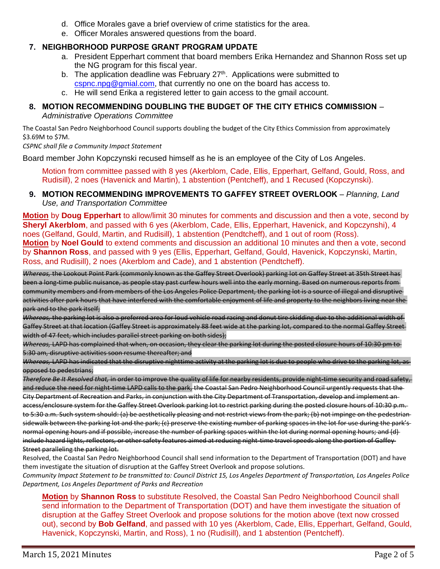- d. Office Morales gave a brief overview of crime statistics for the area.
- e. Officer Morales answered questions from the board.

### **7. NEIGHBORHOOD PURPOSE GRANT PROGRAM UPDATE**

- a. President Epperhart comment that board members Erika Hernandez and Shannon Ross set up the NG program for this fiscal year.
- b. The application deadline was February  $27<sup>th</sup>$ . Applications were submitted to [cspnc.npg@gmial.com,](mailto:cspnc.npg@gmial.com) that currently no one on the board has access to.
- c. He will send Erika a registered letter to gain access to the gmail account.

#### **8. MOTION RECOMMENDING DOUBLING THE BUDGET OF THE CITY ETHICS COMMISSION** – *Administrative Operations Committee*

The Coastal San Pedro Neighborhood Council supports doubling the budget of the City Ethics Commission from approximately \$3.69M to \$7M.

*CSPNC shall file a Community Impact Statement*

Board member John Kopczynski recused himself as he is an employee of the City of Los Angeles.

Motion from committee passed with 8 yes (Akerblom, Cade, Ellis, Epperhart, Gelfand, Gould, Ross, and Rudisill), 2 noes (Havenick and Martin), 1 abstention (Pentcheff), and 1 Recused (Kopczynski).

### **9. MOTION RECOMMENDING IMPROVEMENTS TO GAFFEY STREET OVERLOOK** – *Planning, Land Use, and Transportation Committee*

**Motion** by **Doug Epperhart** to allow/limit 30 minutes for comments and discussion and then a vote, second by **Sheryl Akerblom**, and passed with 6 yes (Akerblom, Cade, Ellis, Epperhart, Havenick, and Kopczynshi), 4 noes (Gelfand, Gould, Martin, and Rudisill), 1 abstention (Pendtcheff), and 1 out of room (Ross). **Motion** by **Noel Gould** to extend comments and discussion an additional 10 minutes and then a vote, second by **Shannon Ross**, and passed with 9 yes (Ellis, Epperhart, Gelfand, Gould, Havenick, Kopczynski, Martin, Ross, and Rudisill), 2 noes (Akerblom and Cade), and 1 abstention (Pendtcheff).

*Whereas,* the Lookout Point Park (commonly known as the Gaffey Street Overlook) parking lot on Gaffey Street at 35th Street has been a long-time public nuisance, as people stay past curfew hours well into the early morning. Based on numerous reports from community members and from members of the Los Angeles Police Department, the parking lot is a source of illegal and disruptive activities after park hours that have interfered with the comfortable enjoyment of life and property to the neighbors living near the park and to the park itself;

*Whereas,* the parking lot is also a preferred area for loud vehicle road racing and donut tire skidding due to the additional width of Gaffey Street at that location (Gaffey Street is approximately 88 feet wide at the parking lot, compared to the normal Gaffey Streetwidth of 47 feet, which includes parallel street parking on both sides);

*Whereas,* LAPD has complained that when, on occasion, they clear the parking lot during the posted closure hours of 10:30 pm to 5:30 am, disruptive activities soon resume thereafter; and

*Whereas,* LAPD has indicated that the disruptive nighttime activity at the parking lot is due to people who drive to the parking lot, as opposed to pedestrians;

*Therefore Be It Resolved that,* in order to improve the quality of life for nearby residents, provide night-time security and road safety, and reduce the need for night-time LAPD calls to the park, the Coastal San Pedro Neighborhood Council urgently requests that the City Department of Recreation and Parks, in conjunction with the City Department of Transportation, develop and implement an access/enclosure system for the Gaffey Street Overlook parking lot to restrict parking during the posted closure hours of 10:30 p.m. to 5:30 a.m. Such system should: (a) be aesthetically pleasing and not restrict views from the park; (b) not impinge on the pedestriansidewalk between the parking lot and the park; (c) preserve the existing number of parking spaces in the lot for use during the park'snormal opening hours and if possible, increase the number of parking spaces within the lot during normal opening hours; and (d) include hazard lights, reflectors, or other safety features aimed at reducing night-time travel speeds along the portion of Gaffey-Street paralleling the parking lot.

Resolved, the Coastal San Pedro Neighborhood Council shall send information to the Department of Transportation (DOT) and have them investigate the situation of disruption at the Gaffey Street Overlook and propose solutions.

*Community Impact Statement to be transmitted to: Council District 15, Los Angeles Department of Transportation, Los Angeles Police Department, Los Angeles Department of Parks and Recreation*

**Motion** by **Shannon Ross** to substitute Resolved, the Coastal San Pedro Neighborhood Council shall send information to the Department of Transportation (DOT) and have them investigate the situation of disruption at the Gaffey Street Overlook and propose solutions for the motion above (text now crossed out), second by **Bob Gelfand**, and passed with 10 yes (Akerblom, Cade, Ellis, Epperhart, Gelfand, Gould, Havenick, Kopczynski, Martin, and Ross), 1 no (Rudisill), and 1 abstention (Pentcheff).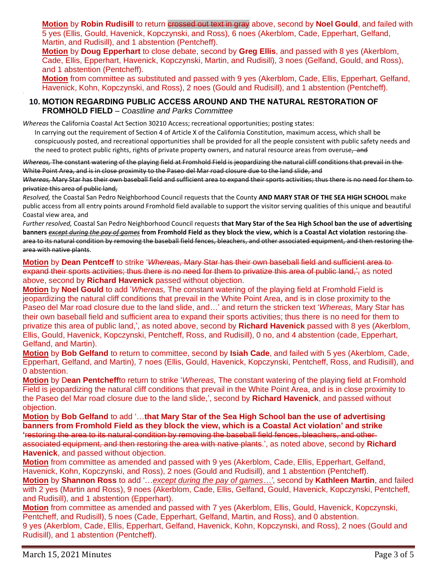**Motion** by **Robin Rudisill** to return crossed out text in gray above, second by **Noel Gould**, and failed with 5 yes (Ellis, Gould, Havenick, Kopczynski, and Ross), 6 noes (Akerblom, Cade, Epperhart, Gelfand, Martin, and Rudisill), and 1 abstention (Pentcheff).

**Motion** by **Doug Epperhart** to close debate, second by **Greg Ellis**, and passed with 8 yes (Akerblom, Cade, Ellis, Epperhart, Havenick, Kopczynski, Martin, and Rudisill), 3 noes (Gelfand, Gould, and Ross), and 1 abstention (Pentcheff).

**Motion** from committee as substituted and passed with 9 yes (Akerblom, Cade, Ellis, Epperhart, Gelfand, Havenick, Kohn, Kopczynski, and Ross), 2 noes (Gould and Rudisill), and 1 abstention (Pentcheff).

### **10. MOTION REGARDING PUBLIC ACCESS AROUND AND THE NATURAL RESTORATION OF FROMHOLD FIELD** – *Coastline and Parks Committee*

*Whereas* the California Coastal Act Section 30210 Access; recreational opportunities; posting states:

In carrying out the requirement of Section 4 of Article X of the California Constitution, maximum access, which shall be conspicuously posted, and recreational opportunities shall be provided for all the people consistent with public safety needs and the need to protect public rights, rights of private property owners, and natural resource areas from overuse, and

*Whereas,* The constant watering of the playing field at Fromhold Field is jeopardizing the natural cliff conditions that prevail in the White Point Area, and is in close proximity to the Paseo del Mar road closure due to the land slide, and

*Whereas,* Mary Star has their own baseball field and sufficient area to expand their sports activities; thus there is no need for them to privatize this area of public land,

*Resolved,* the Coastal San Pedro Neighborhood Council requests that the County **AND MARY STAR OF THE SEA HIGH SCHOOL** make public access from all entry points around Fromhold field available to support the visitor serving qualities of this unique and beautiful Coastal view area, and

*Further resolved,* Coastal San Pedro Neighborhood Council requests **that Mary Star of the Sea High School ban the use of advertising banners** *except during the pay of games* **from Fromhold Field as they block the view, which is a Coastal Act violation** restoring the area to its natural condition by removing the baseball field fences, bleachers, and other associated equipment, and then restoring the area with native plants.

**Motion** by **Dean Pentceff** to strike '*Whereas,* Mary Star has their own baseball field and sufficient area to expand their sports activities; thus there is no need for them to privatize this area of public land,", as noted above, second by **Richard Havenick** passed without objection.

**Motion** by **Noel Gould** to add '*Whereas,* The constant watering of the playing field at Fromhold Field is jeopardizing the natural cliff conditions that prevail in the White Point Area, and is in close proximity to the Paseo del Mar road closure due to the land slide, and…' and return the stricken text '*Whereas,* Mary Star has their own baseball field and sufficient area to expand their sports activities; thus there is no need for them to privatize this area of public land,', as noted above, second by **Richard Havenick** passed with 8 yes (Akerblom, Ellis, Gould, Havenick, Kopczynski, Pentcheff, Ross, and Rudisill), 0 no, and 4 abstention (cade, Epperhart, Gelfand, and Martin).

**Motion** by **Bob Gelfand** to return to committee, second by **Isiah Cade**, and failed with 5 yes (Akerblom, Cade, Epperhart, Gelfand, and Martin), 7 noes (Ellis, Gould, Havenick, Kopczynski, Pentcheff, Ross, and Rudisill), and 0 abstention.

**Motion** by D**ean Pentcheff**to return to strike '*Whereas,* The constant watering of the playing field at Fromhold Field is jeopardizing the natural cliff conditions that prevail in the White Point Area, and is in close proximity to the Paseo del Mar road closure due to the land slide,', second by **Richard Havenick**, and passed without objection.

**Motion** by **Bob Gelfand** to add '…**that Mary Star of the Sea High School ban the use of advertising banners from Fromhold Field as they block the view, which is a Coastal Act violation' and strike '**restoring the area to its natural condition by removing the baseball field fences, bleachers, and other associated equipment, and then restoring the area with native plants.', as noted above, second by **Richard Havenick**, and passed without objection.

**Motion** from committee as amended and passed with 9 yes (Akerblom, Cade, Ellis, Epperhart, Gelfand, Havenick, Kohn, Kopczynski, and Ross), 2 noes (Gould and Rudisill), and 1 abstention (Pentcheff). **Motion** by **Shannon Ross** to add '…*except during the pay of games…'*, second by **Kathleen Martin**, and failed with 2 yes (Martin and Ross), 9 noes (Akerblom, Cade, Ellis, Gelfand, Gould, Havenick, Kopczynski, Pentcheff, and Rudisill), and 1 abstention (Epperhart).

**Motion** from committee as amended and passed with 7 yes (Akerblom, Ellis, Gould, Havenick, Kopczynski, Pentcheff, and Rudisill), 5 noes (Cade, Epperhart, Gelfand, Martin, and Ross), and 0 abstention. 9 yes (Akerblom, Cade, Ellis, Epperhart, Gelfand, Havenick, Kohn, Kopczynski, and Ross), 2 noes (Gould and Rudisill), and 1 abstention (Pentcheff).

`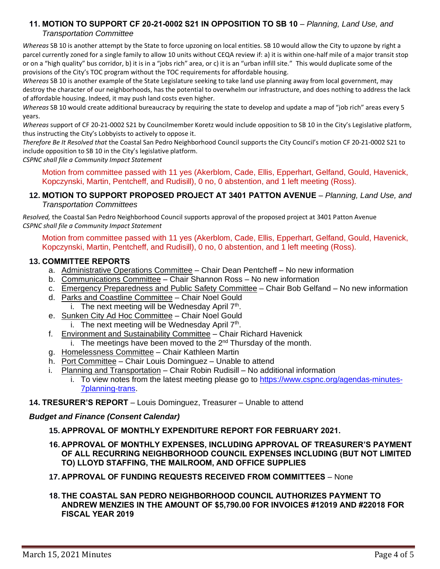#### **11. MOTION TO SUPPORT CF 20-21-0002 S21 IN OPPOSITION TO SB 10** – *Planning, Land Use, and Transportation Committee*

*Whereas* SB 10 is another attempt by the State to force upzoning on local entities. SB 10 would allow the City to upzone by right a parcel currently zoned for a single family to allow 10 units without CEQA review if: a) it is within one-half mile of a major transit stop or on a "high quality" bus corridor, b) it is in a "jobs rich" area, or c) it is an "urban infill site." This would duplicate some of the provisions of the City's TOC program without the TOC requirements for affordable housing.

*Whereas* SB 10 is another example of the State Legislature seeking to take land use planning away from local government, may destroy the character of our neighborhoods, has the potential to overwhelm our infrastructure, and does nothing to address the lack of affordable housing. Indeed, it may push land costs even higher.

*Whereas* SB 10 would create additional bureaucracy by requiring the state to develop and update a map of "job rich" areas every 5 years.

*Whereas* support of CF 20-21-0002 S21 by Councilmember Koretz would include opposition to SB 10 in the City's Legislative platform, thus instructing the City's Lobbyists to actively to oppose it.

*Therefore Be It Resolved that* the Coastal San Pedro Neighborhood Council supports the City Council's motion CF 20-21-0002 S21 to include opposition to SB 10 in the City's legislative platform.

*CSPNC shall file a Community Impact Statement*

Motion from committee passed with 11 yes (Akerblom, Cade, Ellis, Epperhart, Gelfand, Gould, Havenick, Kopczynski, Martin, Pentcheff, and Rudisill), 0 no, 0 abstention, and 1 left meeting (Ross).

### **12. MOTION TO SUPPORT PROPOSED PROJECT AT 3401 PATTON AVENUE** – *Planning, Land Use, and Transportation Committees*

*Resolved,* the Coastal San Pedro Neighborhood Council supports approval of the proposed project at 3401 Patton Avenue *CSPNC shall file a Community Impact Statement*

Motion from committee passed with 11 yes (Akerblom, Cade, Ellis, Epperhart, Gelfand, Gould, Havenick, Kopczynski, Martin, Pentcheff, and Rudisill), 0 no, 0 abstention, and 1 left meeting (Ross).

## **13. COMMITTEE REPORTS**

- a. Administrative Operations Committee Chair Dean Pentcheff No new information
- b. Communications Committee Chair Shannon Ross No new information
- c. Emergency Preparedness and Public Safety Committee Chair Bob Gelfand No new information
- d. Parks and Coastline Committee Chair Noel Gould i. The next meeting will be Wednesday April  $7<sup>th</sup>$ .
- e. Sunken City Ad Hoc Committee Chair Noel Gould
	- i. The next meeting will be Wednesday April  $7<sup>th</sup>$ .
- f. Environment and Sustainability Committee Chair Richard Havenick
	- i. The meetings have been moved to the  $2<sup>nd</sup>$  Thursday of the month.
- g. Homelessness Committee Chair Kathleen Martin
- h. Port Committee Chair Louis Dominguez Unable to attend
- i. Planning and Transportation Chair Robin Rudisill No additional information
	- i. To view notes from the latest meeting please go to [https://www.cspnc.org/agendas-minutes-](https://www.cspnc.org/agendas-minutes-7planning-trans)[7planning-trans.](https://www.cspnc.org/agendas-minutes-7planning-trans)
- **14. TRESURER'S REPORT** Louis Dominguez, Treasurer Unable to attend

### *Budget and Finance (Consent Calendar)*

- **15. APPROVAL OF MONTHLY EXPENDITURE REPORT FOR FEBRUARY 2021.**
- **16. APPROVAL OF MONTHLY EXPENSES, INCLUDING APPROVAL OF TREASURER'S PAYMENT OF ALL RECURRING NEIGHBORHOOD COUNCIL EXPENSES INCLUDING (BUT NOT LIMITED TO) LLOYD STAFFING, THE MAILROOM, AND OFFICE SUPPLIES**
- **17. APPROVAL OF FUNDING REQUESTS RECEIVED FROM COMMITTEES** None
- **18. THE COASTAL SAN PEDRO NEIGHBORHOOD COUNCIL AUTHORIZES PAYMENT TO ANDREW MENZIES IN THE AMOUNT OF \$5,790.00 FOR INVOICES #12019 AND #22018 FOR FISCAL YEAR 2019**